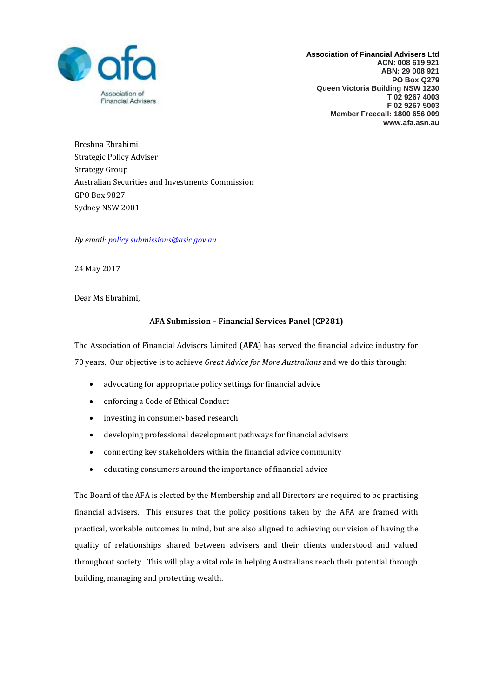

**Association of Financial Advisers Ltd ACN: 008 619 921 ABN: 29 008 921 PO Box Q279 Queen Victoria Building NSW 1230 T 02 9267 4003 F 02 9267 5003 Member Freecall: 1800 656 009 www.afa.asn.au** 

Breshna Ebrahimi Strategic Policy Adviser Strategy Group Australian Securities and Investments Commission GPO Box 9827 Sydney NSW 2001

*By email: [policy.submissions@asic.gov.au](mailto:policy.submissions@asic.gov.au)*

24 May 2017

Dear Ms Ebrahimi,

# **AFA Submission – Financial Services Panel (CP281)**

The Association of Financial Advisers Limited (**AFA**) has served the financial advice industry for 70 years. Our objective is to achieve *Great Advice for More Australians* and we do this through:

- advocating for appropriate policy settings for financial advice
- enforcing a Code of Ethical Conduct
- investing in consumer-based research
- developing professional development pathways for financial advisers
- connecting key stakeholders within the financial advice community
- educating consumers around the importance of financial advice

The Board of the AFA is elected by the Membership and all Directors are required to be practising financial advisers. This ensures that the policy positions taken by the AFA are framed with practical, workable outcomes in mind, but are also aligned to achieving our vision of having the quality of relationships shared between advisers and their clients understood and valued throughout society. This will play a vital role in helping Australians reach their potential through building, managing and protecting wealth.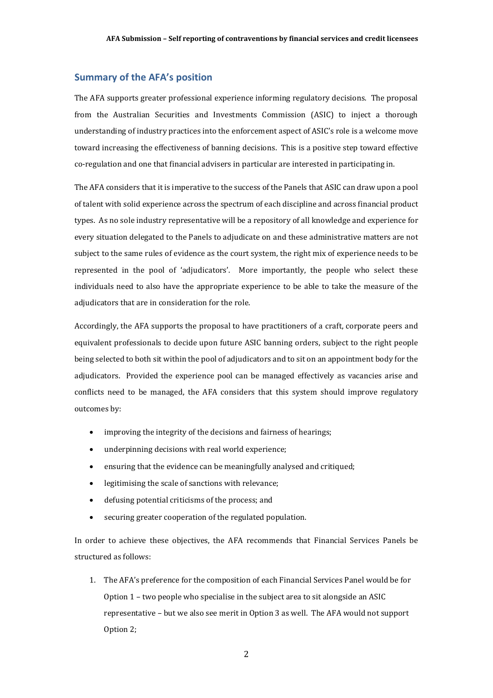# **Summary of the AFA's position**

The AFA supports greater professional experience informing regulatory decisions. The proposal from the Australian Securities and Investments Commission (ASIC) to inject a thorough understanding of industry practices into the enforcement aspect of ASIC's role is a welcome move toward increasing the effectiveness of banning decisions. This is a positive step toward effective co-regulation and one that financial advisers in particular are interested in participating in.

The AFA considers that it is imperative to the success of the Panels that ASIC can draw upon a pool of talent with solid experience across the spectrum of each discipline and across financial product types. As no sole industry representative will be a repository of all knowledge and experience for every situation delegated to the Panels to adjudicate on and these administrative matters are not subject to the same rules of evidence as the court system, the right mix of experience needs to be represented in the pool of 'adjudicators'. More importantly, the people who select these individuals need to also have the appropriate experience to be able to take the measure of the adjudicators that are in consideration for the role.

Accordingly, the AFA supports the proposal to have practitioners of a craft, corporate peers and equivalent professionals to decide upon future ASIC banning orders, subject to the right people being selected to both sit within the pool of adjudicators and to sit on an appointment body for the adjudicators. Provided the experience pool can be managed effectively as vacancies arise and conflicts need to be managed, the AFA considers that this system should improve regulatory outcomes by:

- improving the integrity of the decisions and fairness of hearings;
- underpinning decisions with real world experience;
- ensuring that the evidence can be meaningfully analysed and critiqued;
- legitimising the scale of sanctions with relevance;
- defusing potential criticisms of the process; and
- securing greater cooperation of the regulated population.

In order to achieve these objectives, the AFA recommends that Financial Services Panels be structured as follows:

1. The AFA's preference for the composition of each Financial Services Panel would be for Option 1 – two people who specialise in the subject area to sit alongside an ASIC representative – but we also see merit in Option 3 as well. The AFA would not support Option 2;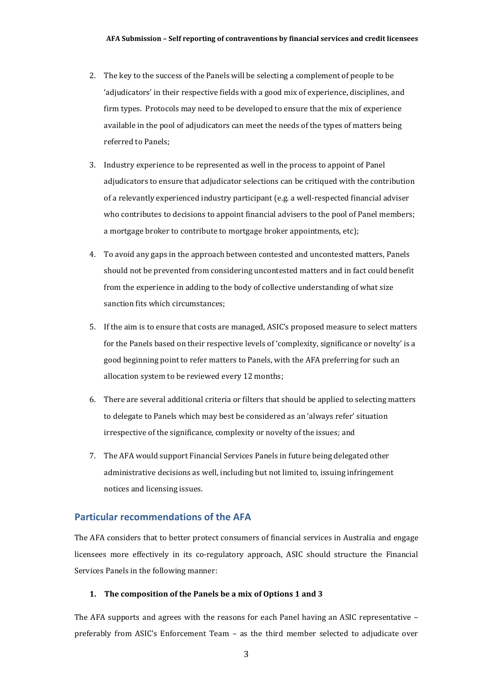- 2. The key to the success of the Panels will be selecting a complement of people to be 'adjudicators' in their respective fields with a good mix of experience, disciplines, and firm types. Protocols may need to be developed to ensure that the mix of experience available in the pool of adjudicators can meet the needs of the types of matters being referred to Panels;
- 3. Industry experience to be represented as well in the process to appoint of Panel adjudicators to ensure that adjudicator selections can be critiqued with the contribution of a relevantly experienced industry participant (e.g. a well-respected financial adviser who contributes to decisions to appoint financial advisers to the pool of Panel members; a mortgage broker to contribute to mortgage broker appointments, etc);
- 4. To avoid any gaps in the approach between contested and uncontested matters, Panels should not be prevented from considering uncontested matters and in fact could benefit from the experience in adding to the body of collective understanding of what size sanction fits which circumstances;
- 5. If the aim is to ensure that costs are managed, ASIC's proposed measure to select matters for the Panels based on their respective levels of 'complexity, significance or novelty' is a good beginning point to refer matters to Panels, with the AFA preferring for such an allocation system to be reviewed every 12 months;
- 6. There are several additional criteria or filters that should be applied to selecting matters to delegate to Panels which may best be considered as an 'always refer' situation irrespective of the significance, complexity or novelty of the issues; and
- 7. The AFA would support Financial Services Panels in future being delegated other administrative decisions as well, including but not limited to, issuing infringement notices and licensing issues.

## **Particular recommendations of the AFA**

The AFA considers that to better protect consumers of financial services in Australia and engage licensees more effectively in its co-regulatory approach, ASIC should structure the Financial Services Panels in the following manner:

## **1. The composition of the Panels be a mix of Options 1 and 3**

The AFA supports and agrees with the reasons for each Panel having an ASIC representative – preferably from ASIC's Enforcement Team – as the third member selected to adjudicate over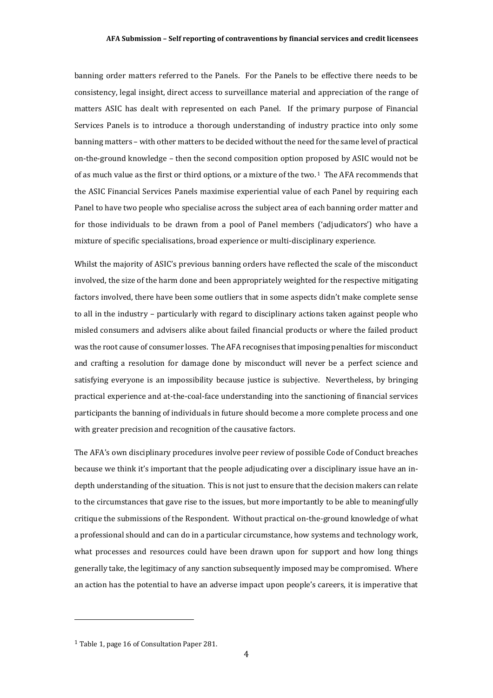banning order matters referred to the Panels. For the Panels to be effective there needs to be consistency, legal insight, direct access to surveillance material and appreciation of the range of matters ASIC has dealt with represented on each Panel. If the primary purpose of Financial Services Panels is to introduce a thorough understanding of industry practice into only some banning matters – with other matters to be decided without the need for the same level of practical on-the-ground knowledge – then the second composition option proposed by ASIC would not be of as much value as the first or third options, or a mixture of the two. <sup>1</sup> The AFA recommends that the ASIC Financial Services Panels maximise experiential value of each Panel by requiring each Panel to have two people who specialise across the subject area of each banning order matter and for those individuals to be drawn from a pool of Panel members ('adjudicators') who have a mixture of specific specialisations, broad experience or multi-disciplinary experience.

Whilst the majority of ASIC's previous banning orders have reflected the scale of the misconduct involved, the size of the harm done and been appropriately weighted for the respective mitigating factors involved, there have been some outliers that in some aspects didn't make complete sense to all in the industry – particularly with regard to disciplinary actions taken against people who misled consumers and advisers alike about failed financial products or where the failed product was the root cause of consumer losses. The AFA recognises that imposing penalties for misconduct and crafting a resolution for damage done by misconduct will never be a perfect science and satisfying everyone is an impossibility because justice is subjective. Nevertheless, by bringing practical experience and at-the-coal-face understanding into the sanctioning of financial services participants the banning of individuals in future should become a more complete process and one with greater precision and recognition of the causative factors.

The AFA's own disciplinary procedures involve peer review of possible Code of Conduct breaches because we think it's important that the people adjudicating over a disciplinary issue have an indepth understanding of the situation. This is not just to ensure that the decision makers can relate to the circumstances that gave rise to the issues, but more importantly to be able to meaningfully critique the submissions of the Respondent. Without practical on-the-ground knowledge of what a professional should and can do in a particular circumstance, how systems and technology work, what processes and resources could have been drawn upon for support and how long things generally take, the legitimacy of any sanction subsequently imposed may be compromised. Where an action has the potential to have an adverse impact upon people's careers, it is imperative that

l

<sup>1</sup> Table 1, page 16 of Consultation Paper 281.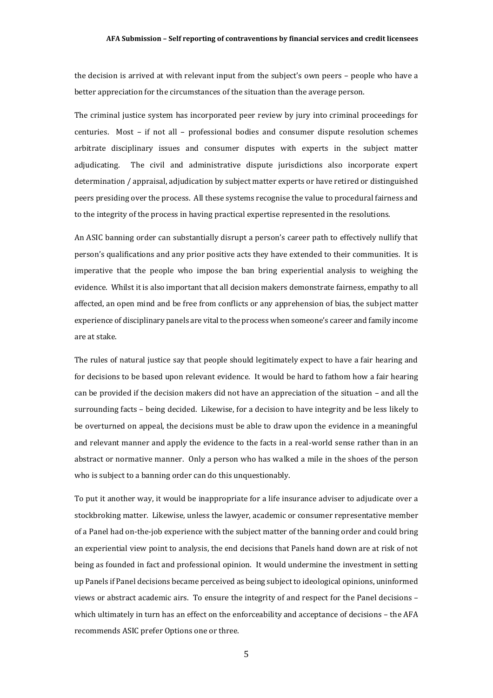### **AFA Submission – Self reporting of contraventions by financial services and credit licensees**

the decision is arrived at with relevant input from the subject's own peers – people who have a better appreciation for the circumstances of the situation than the average person.

The criminal justice system has incorporated peer review by jury into criminal proceedings for centuries. Most – if not all – professional bodies and consumer dispute resolution schemes arbitrate disciplinary issues and consumer disputes with experts in the subject matter adjudicating. The civil and administrative dispute jurisdictions also incorporate expert determination / appraisal, adjudication by subject matter experts or have retired or distinguished peers presiding over the process. All these systems recognise the value to procedural fairness and to the integrity of the process in having practical expertise represented in the resolutions.

An ASIC banning order can substantially disrupt a person's career path to effectively nullify that person's qualifications and any prior positive acts they have extended to their communities. It is imperative that the people who impose the ban bring experiential analysis to weighing the evidence. Whilst it is also important that all decision makers demonstrate fairness, empathy to all affected, an open mind and be free from conflicts or any apprehension of bias, the subject matter experience of disciplinary panels are vital to the process when someone's career and family income are at stake.

The rules of natural justice say that people should legitimately expect to have a fair hearing and for decisions to be based upon relevant evidence. It would be hard to fathom how a fair hearing can be provided if the decision makers did not have an appreciation of the situation – and all the surrounding facts – being decided. Likewise, for a decision to have integrity and be less likely to be overturned on appeal, the decisions must be able to draw upon the evidence in a meaningful and relevant manner and apply the evidence to the facts in a real-world sense rather than in an abstract or normative manner. Only a person who has walked a mile in the shoes of the person who is subject to a banning order can do this unquestionably.

To put it another way, it would be inappropriate for a life insurance adviser to adjudicate over a stockbroking matter. Likewise, unless the lawyer, academic or consumer representative member of a Panel had on-the-job experience with the subject matter of the banning order and could bring an experiential view point to analysis, the end decisions that Panels hand down are at risk of not being as founded in fact and professional opinion. It would undermine the investment in setting up Panels if Panel decisions became perceived as being subject to ideological opinions, uninformed views or abstract academic airs. To ensure the integrity of and respect for the Panel decisions – which ultimately in turn has an effect on the enforceability and acceptance of decisions – the AFA recommends ASIC prefer Options one or three.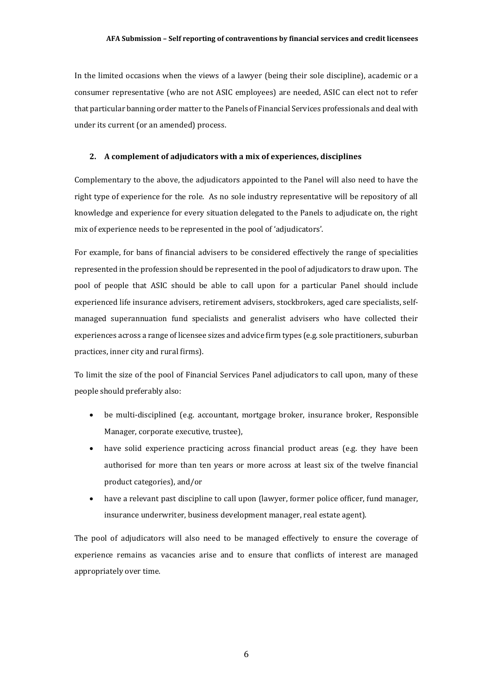### **AFA Submission – Self reporting of contraventions by financial services and credit licensees**

In the limited occasions when the views of a lawyer (being their sole discipline), academic or a consumer representative (who are not ASIC employees) are needed, ASIC can elect not to refer that particular banning order matter to the Panels of Financial Services professionals and deal with under its current (or an amended) process.

### **2. A complement of adjudicators with a mix of experiences, disciplines**

Complementary to the above, the adjudicators appointed to the Panel will also need to have the right type of experience for the role. As no sole industry representative will be repository of all knowledge and experience for every situation delegated to the Panels to adjudicate on, the right mix of experience needs to be represented in the pool of 'adjudicators'.

For example, for bans of financial advisers to be considered effectively the range of specialities represented in the profession should be represented in the pool of adjudicators to draw upon. The pool of people that ASIC should be able to call upon for a particular Panel should include experienced life insurance advisers, retirement advisers, stockbrokers, aged care specialists, selfmanaged superannuation fund specialists and generalist advisers who have collected their experiences across a range of licensee sizes and advice firm types (e.g. sole practitioners, suburban practices, inner city and rural firms).

To limit the size of the pool of Financial Services Panel adjudicators to call upon, many of these people should preferably also:

- be multi-disciplined (e.g. accountant, mortgage broker, insurance broker, Responsible Manager, corporate executive, trustee),
- have solid experience practicing across financial product areas (e.g. they have been authorised for more than ten years or more across at least six of the twelve financial product categories), and/or
- have a relevant past discipline to call upon (lawyer, former police officer, fund manager, insurance underwriter, business development manager, real estate agent).

The pool of adjudicators will also need to be managed effectively to ensure the coverage of experience remains as vacancies arise and to ensure that conflicts of interest are managed appropriately over time.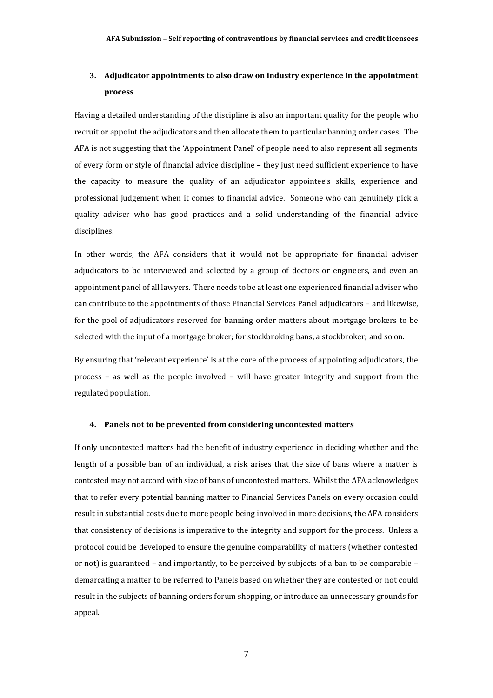# **3. Adjudicator appointments to also draw on industry experience in the appointment process**

Having a detailed understanding of the discipline is also an important quality for the people who recruit or appoint the adjudicators and then allocate them to particular banning order cases. The AFA is not suggesting that the 'Appointment Panel' of people need to also represent all segments of every form or style of financial advice discipline – they just need sufficient experience to have the capacity to measure the quality of an adjudicator appointee's skills, experience and professional judgement when it comes to financial advice. Someone who can genuinely pick a quality adviser who has good practices and a solid understanding of the financial advice disciplines.

In other words, the AFA considers that it would not be appropriate for financial adviser adjudicators to be interviewed and selected by a group of doctors or engineers, and even an appointment panel of all lawyers. There needs to be at least one experienced financial adviser who can contribute to the appointments of those Financial Services Panel adjudicators – and likewise, for the pool of adjudicators reserved for banning order matters about mortgage brokers to be selected with the input of a mortgage broker; for stockbroking bans, a stockbroker; and so on.

By ensuring that 'relevant experience' is at the core of the process of appointing adjudicators, the process – as well as the people involved – will have greater integrity and support from the regulated population.

### **4. Panels not to be prevented from considering uncontested matters**

If only uncontested matters had the benefit of industry experience in deciding whether and the length of a possible ban of an individual, a risk arises that the size of bans where a matter is contested may not accord with size of bans of uncontested matters. Whilst the AFA acknowledges that to refer every potential banning matter to Financial Services Panels on every occasion could result in substantial costs due to more people being involved in more decisions, the AFA considers that consistency of decisions is imperative to the integrity and support for the process. Unless a protocol could be developed to ensure the genuine comparability of matters (whether contested or not) is guaranteed – and importantly, to be perceived by subjects of a ban to be comparable – demarcating a matter to be referred to Panels based on whether they are contested or not could result in the subjects of banning orders forum shopping, or introduce an unnecessary grounds for appeal.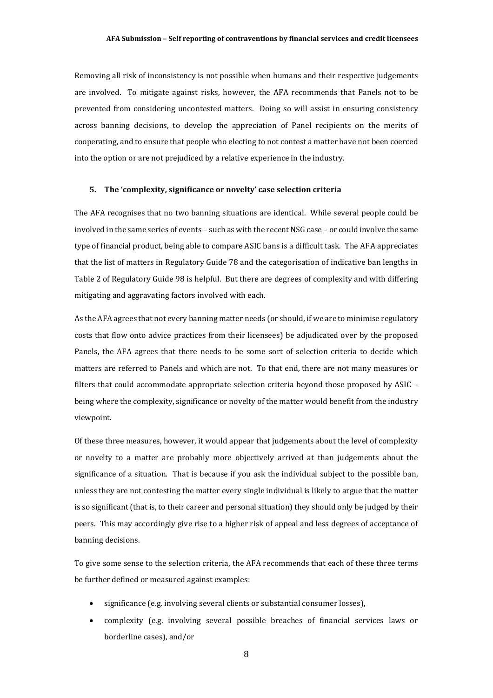### **AFA Submission – Self reporting of contraventions by financial services and credit licensees**

Removing all risk of inconsistency is not possible when humans and their respective judgements are involved. To mitigate against risks, however, the AFA recommends that Panels not to be prevented from considering uncontested matters. Doing so will assist in ensuring consistency across banning decisions, to develop the appreciation of Panel recipients on the merits of cooperating, and to ensure that people who electing to not contest a matter have not been coerced into the option or are not prejudiced by a relative experience in the industry.

### **5. The 'complexity, significance or novelty' case selection criteria**

The AFA recognises that no two banning situations are identical. While several people could be involved in the same series of events – such as with the recent NSG case – or could involve the same type of financial product, being able to compare ASIC bans is a difficult task. The AFA appreciates that the list of matters in Regulatory Guide 78 and the categorisation of indicative ban lengths in Table 2 of Regulatory Guide 98 is helpful. But there are degrees of complexity and with differing mitigating and aggravating factors involved with each.

As the AFA agrees that not every banning matter needs (or should, if we are to minimise regulatory costs that flow onto advice practices from their licensees) be adjudicated over by the proposed Panels, the AFA agrees that there needs to be some sort of selection criteria to decide which matters are referred to Panels and which are not. To that end, there are not many measures or filters that could accommodate appropriate selection criteria beyond those proposed by ASIC – being where the complexity, significance or novelty of the matter would benefit from the industry viewpoint.

Of these three measures, however, it would appear that judgements about the level of complexity or novelty to a matter are probably more objectively arrived at than judgements about the significance of a situation. That is because if you ask the individual subject to the possible ban, unless they are not contesting the matter every single individual is likely to argue that the matter is so significant (that is, to their career and personal situation) they should only be judged by their peers. This may accordingly give rise to a higher risk of appeal and less degrees of acceptance of banning decisions.

To give some sense to the selection criteria, the AFA recommends that each of these three terms be further defined or measured against examples:

- significance (e.g. involving several clients or substantial consumer losses),
- complexity (e.g. involving several possible breaches of financial services laws or borderline cases), and/or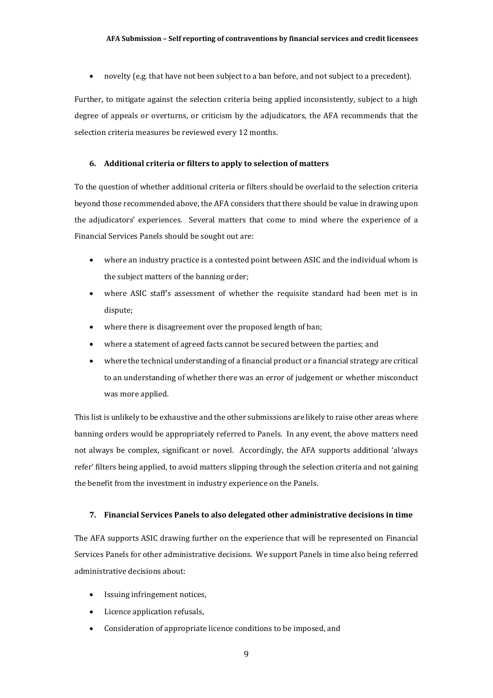novelty (e.g. that have not been subject to a ban before, and not subject to a precedent).

Further, to mitigate against the selection criteria being applied inconsistently, subject to a high degree of appeals or overturns, or criticism by the adjudicators, the AFA recommends that the selection criteria measures be reviewed every 12 months.

## **6. Additional criteria or filters to apply to selection of matters**

To the question of whether additional criteria or filters should be overlaid to the selection criteria beyond those recommended above, the AFA considers that there should be value in drawing upon the adjudicators' experiences. Several matters that come to mind where the experience of a Financial Services Panels should be sought out are:

- where an industry practice is a contested point between ASIC and the individual whom is the subject matters of the banning order;
- where ASIC staff's assessment of whether the requisite standard had been met is in dispute;
- where there is disagreement over the proposed length of ban;
- where a statement of agreed facts cannot be secured between the parties; and
- where the technical understanding of a financial product or a financial strategy are critical to an understanding of whether there was an error of judgement or whether misconduct was more applied.

This list is unlikely to be exhaustive and the other submissions are likely to raise other areas where banning orders would be appropriately referred to Panels. In any event, the above matters need not always be complex, significant or novel. Accordingly, the AFA supports additional 'always refer' filters being applied, to avoid matters slipping through the selection criteria and not gaining the benefit from the investment in industry experience on the Panels.

## **7. Financial Services Panels to also delegated other administrative decisions in time**

The AFA supports ASIC drawing further on the experience that will be represented on Financial Services Panels for other administrative decisions. We support Panels in time also being referred administrative decisions about:

- Issuing infringement notices,
- Licence application refusals,
- Consideration of appropriate licence conditions to be imposed, and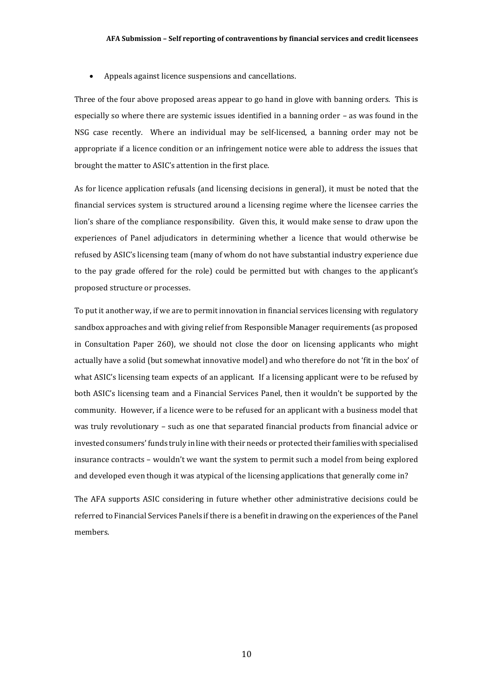Appeals against licence suspensions and cancellations.

Three of the four above proposed areas appear to go hand in glove with banning orders. This is especially so where there are systemic issues identified in a banning order – as was found in the NSG case recently. Where an individual may be self-licensed, a banning order may not be appropriate if a licence condition or an infringement notice were able to address the issues that brought the matter to ASIC's attention in the first place.

As for licence application refusals (and licensing decisions in general), it must be noted that the financial services system is structured around a licensing regime where the licensee carries the lion's share of the compliance responsibility. Given this, it would make sense to draw upon the experiences of Panel adjudicators in determining whether a licence that would otherwise be refused by ASIC's licensing team (many of whom do not have substantial industry experience due to the pay grade offered for the role) could be permitted but with changes to the applicant's proposed structure or processes.

To put it another way, if we are to permit innovation in financial services licensing with regulatory sandbox approaches and with giving relief from Responsible Manager requirements (as proposed in Consultation Paper 260), we should not close the door on licensing applicants who might actually have a solid (but somewhat innovative model) and who therefore do not 'fit in the box' of what ASIC's licensing team expects of an applicant. If a licensing applicant were to be refused by both ASIC's licensing team and a Financial Services Panel, then it wouldn't be supported by the community. However, if a licence were to be refused for an applicant with a business model that was truly revolutionary – such as one that separated financial products from financial advice or invested consumers' funds truly in line with their needs or protected their families with specialised insurance contracts – wouldn't we want the system to permit such a model from being explored and developed even though it was atypical of the licensing applications that generally come in?

The AFA supports ASIC considering in future whether other administrative decisions could be referred to Financial Services Panels if there is a benefit in drawing on the experiences of the Panel members.